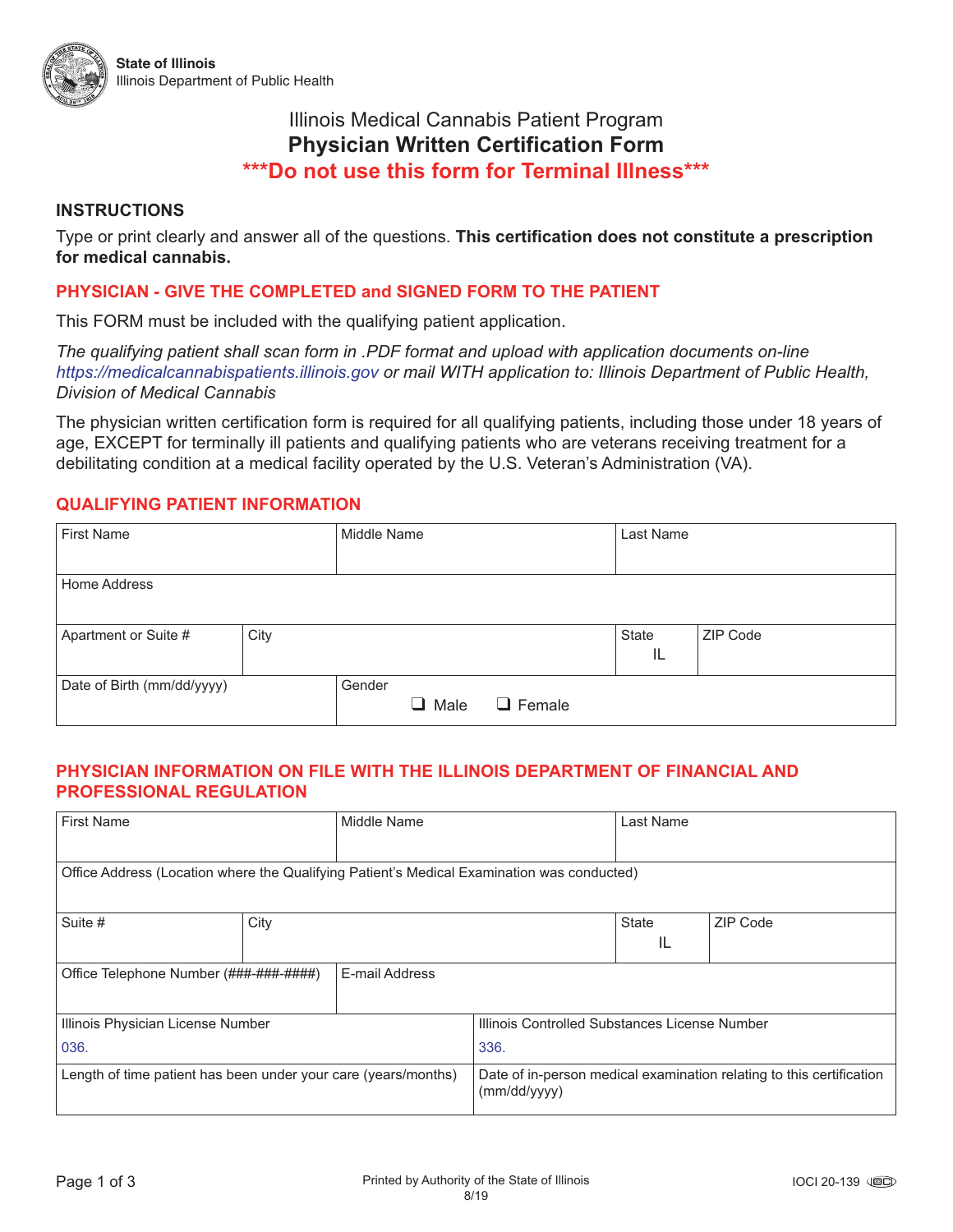# Illinois Medical Cannabis Patient Program **Physician Written Certification Form \*\*\*Do not use this form for Terminal Illness\*\*\***

## **INSTRUCTIONS**

Type or print clearly and answer all of the questions. **This certification does not constitute a prescription for medical cannabis.** 

## **PHYSICIAN - GIVE THE COMPLETED and SIGNED FORM TO THE PATIENT**

This FORM must be included with the qualifying patient application.

*The qualifying patient shall scan form in .PDF format and upload with application documents on-line https://medicalcannabispatients.illinois.gov or mail WITH application to: Illinois Department of Public Health, Division of Medical Cannabis*

The physician written certification form is required for all qualifying patients, including those under 18 years of age, EXCEPT for terminally ill patients and qualifying patients who are veterans receiving treatment for a debilitating condition at a medical facility operated by the U.S. Veteran's Administration (VA).

## **QUALIFYING PATIENT INFORMATION**

| <b>First Name</b>          |      | Middle Name |           |               | Last Name   |          |  |
|----------------------------|------|-------------|-----------|---------------|-------------|----------|--|
| Home Address               |      |             |           |               |             |          |  |
| Apartment or Suite #       | City |             |           |               | State<br>IL | ZIP Code |  |
| Date of Birth (mm/dd/yyyy) |      | Gender      | Male<br>ப | $\Box$ Female |             |          |  |

## **PHYSICIAN INFORMATION ON FILE WITH THE ILLINOIS DEPARTMENT OF FINANCIAL AND PROFESSIONAL REGULATION**

| <b>First Name</b>                                                                          |      | Middle Name |                                                                                      | Last Name    |          |  |  |  |  |
|--------------------------------------------------------------------------------------------|------|-------------|--------------------------------------------------------------------------------------|--------------|----------|--|--|--|--|
|                                                                                            |      |             |                                                                                      |              |          |  |  |  |  |
| Office Address (Location where the Qualifying Patient's Medical Examination was conducted) |      |             |                                                                                      |              |          |  |  |  |  |
|                                                                                            |      |             |                                                                                      |              |          |  |  |  |  |
| Suite #                                                                                    | City |             |                                                                                      | <b>State</b> | ZIP Code |  |  |  |  |
|                                                                                            |      |             |                                                                                      | IL           |          |  |  |  |  |
| E-mail Address<br>Office Telephone Number (###-###-#####)                                  |      |             |                                                                                      |              |          |  |  |  |  |
|                                                                                            |      |             |                                                                                      |              |          |  |  |  |  |
| Illinois Physician License Number                                                          |      |             | Illinois Controlled Substances License Number                                        |              |          |  |  |  |  |
| 036.                                                                                       |      |             | 336.                                                                                 |              |          |  |  |  |  |
| Length of time patient has been under your care (years/months)                             |      |             | Date of in-person medical examination relating to this certification<br>(mm/dd/yyyy) |              |          |  |  |  |  |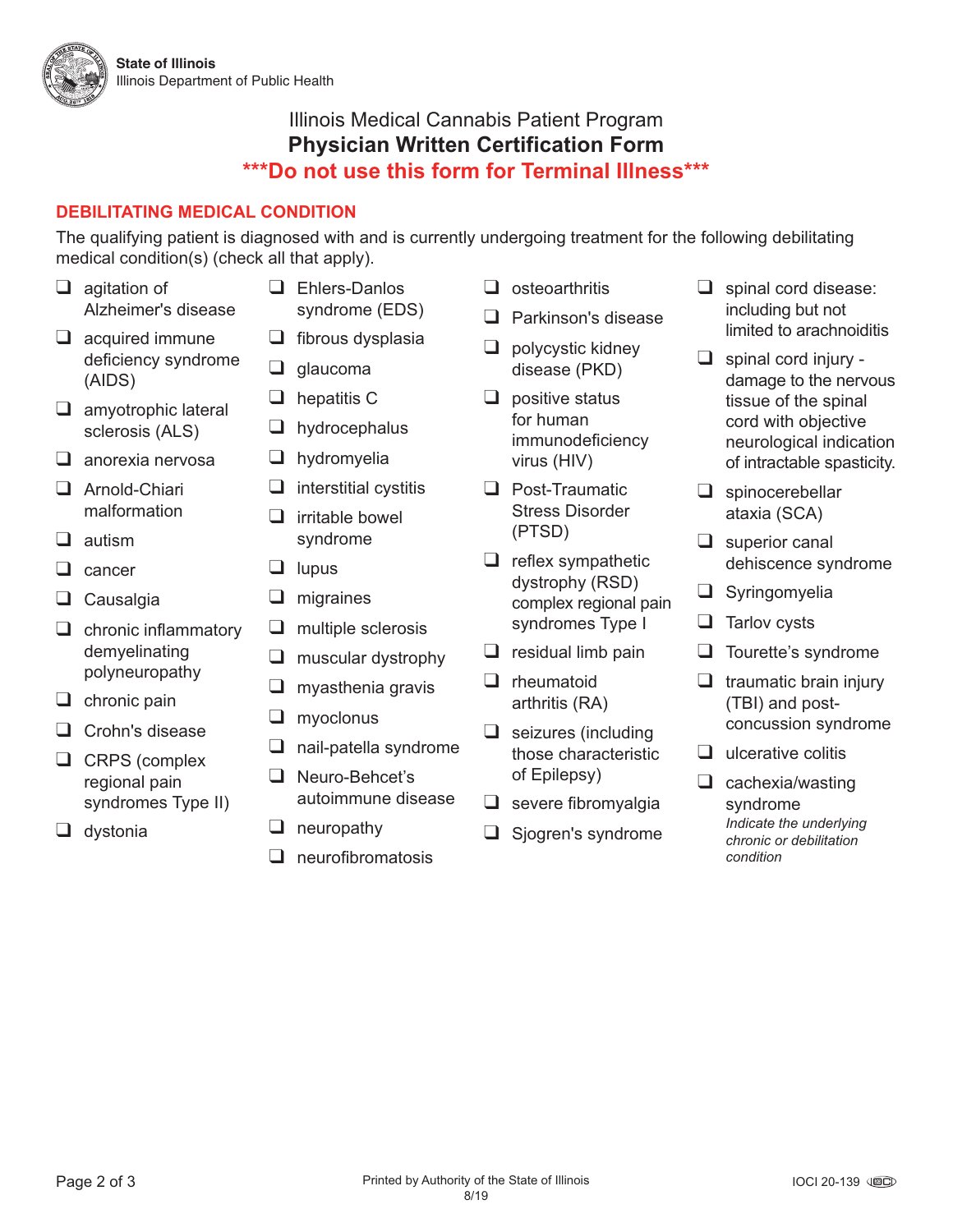

# Illinois Medical Cannabis Patient Program **Physician Written Certification Form \*\*\*Do not use this form for Terminal Illness\*\*\***

# **DEBILITATING MEDICAL CONDITION**

The qualifying patient is diagnosed with and is currently undergoing treatment for the following debilitating medical condition(s) (check all that apply).

- ❑ agitation of Alzheimer's disease
- ❑ acquired immune deficiency syndrome (AIDS)
- ❑ amyotrophic lateral sclerosis (ALS)
- ❑ anorexia nervosa
- ❑ Arnold-Chiari malformation
- ❑ autism
- ❑ cancer
- ❑ Causalgia
- ❑ chronic inflammatory demyelinating polyneuropathy
- ❑ chronic pain
- ❑ Crohn's disease
- ❑ CRPS (complex regional pain syndromes Type II)
- ❑ dystonia
- ❑ Ehlers-Danlos syndrome (EDS)
- ❑ fibrous dysplasia
- ❑ glaucoma
- ❑ hepatitis C
- ❑ hydrocephalus
- ❑ hydromyelia
- $\Box$  interstitial cystitis
- ❑ irritable bowel syndrome
- ❑ lupus
- ❑ migraines
- ❑ multiple sclerosis
- ❑ muscular dystrophy
- $\Box$  myasthenia gravis
- ❑ myoclonus
- □ nail-patella syndrome
- ❑ Neuro-Behcet's autoimmune disease
- ❑ neuropathy
- ❑ neurofibromatosis
- ❑ osteoarthritis
- ❑ Parkinson's disease
- $\Box$  polycystic kidney disease (PKD)
- ❑ positive status for human immunodeficiency virus (HIV)
- ❑ Post-Traumatic Stress Disorder (PTSD)
- $\Box$  reflex sympathetic dystrophy (RSD) complex regional pain syndromes Type I
- $\Box$  residual limb pain
- ❑ rheumatoid arthritis (RA)
- ❑ seizures (including those characteristic of Epilepsy)
- ❑ severe fibromyalgia
- ❑ Sjogren's syndrome
- ❑ spinal cord disease: including but not limited to arachnoiditis
- ❑ spinal cord injury damage to the nervous tissue of the spinal cord with objective neurological indication of intractable spasticity.
- ❑ spinocerebellar ataxia (SCA)
- ❑ superior canal dehiscence syndrome
- ❑ Syringomyelia
- ❑ Tarlov cysts
- ❑ Tourette's syndrome
- $\Box$  traumatic brain injury (TBI) and postconcussion syndrome
- $\Box$  ulcerative colitis
- ❑ cachexia/wasting syndrome *Indicate the underlying chronic or debilitation condition*